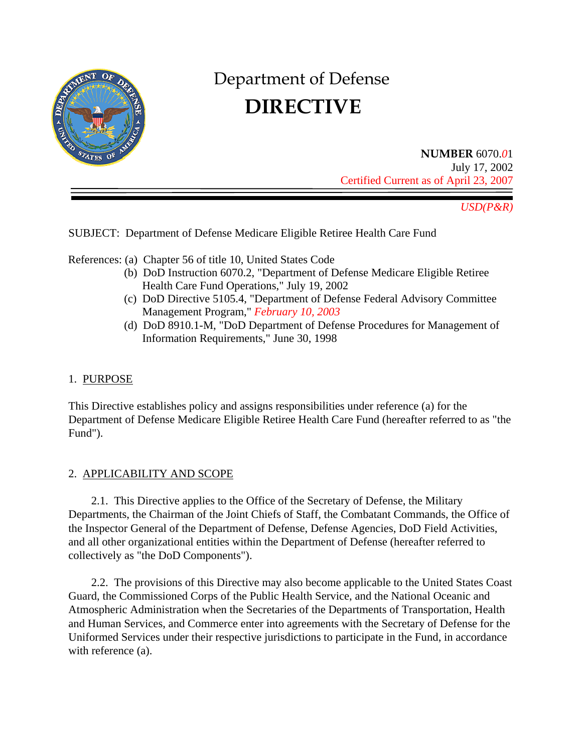

# Department of Defense  **DIRECTIVE**

**NUMBER** 6070.*0*1 July 17, 2002 Certified Current as of April 23, 2007

*USD(P&R)* 

SUBJECT: Department of Defense Medicare Eligible Retiree Health Care Fund

References: (a) Chapter 56 of title 10, United States Code

- (b) DoD Instruction 6070.2, "Department of Defense Medicare Eligible Retiree Health Care Fund Operations," July 19, 2002
- (c) DoD Directive 5105.4, "Department of Defense Federal Advisory Committee Management Program," *February 10, 2003*
- (d) DoD 8910.1-M, "DoD Department of Defense Procedures for Management of Information Requirements," June 30, 1998

# 1. PURPOSE

This Directive establishes policy and assigns responsibilities under reference (a) for the Department of Defense Medicare Eligible Retiree Health Care Fund (hereafter referred to as "the Fund").

## 2. APPLICABILITY AND SCOPE

2.1. This Directive applies to the Office of the Secretary of Defense, the Military Departments, the Chairman of the Joint Chiefs of Staff, the Combatant Commands, the Office of the Inspector General of the Department of Defense, Defense Agencies, DoD Field Activities, and all other organizational entities within the Department of Defense (hereafter referred to collectively as "the DoD Components").

2.2. The provisions of this Directive may also become applicable to the United States Coast Guard, the Commissioned Corps of the Public Health Service, and the National Oceanic and Atmospheric Administration when the Secretaries of the Departments of Transportation, Health and Human Services, and Commerce enter into agreements with the Secretary of Defense for the Uniformed Services under their respective jurisdictions to participate in the Fund, in accordance with reference (a).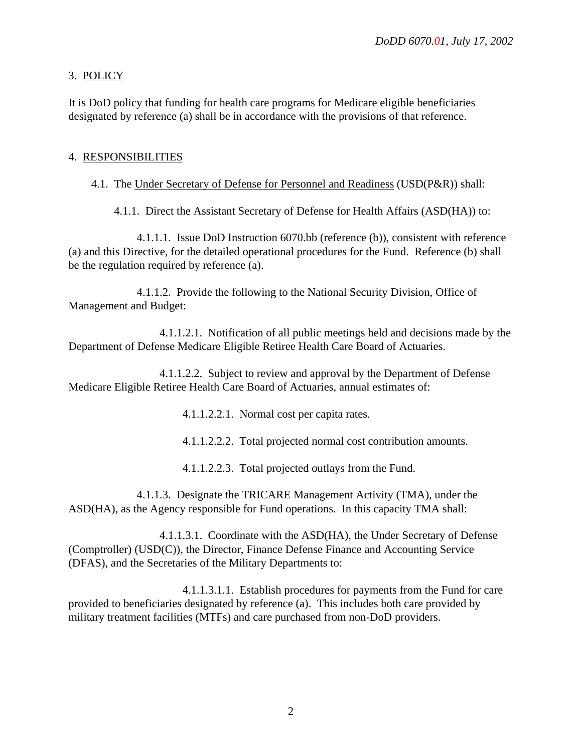## 3. POLICY

It is DoD policy that funding for health care programs for Medicare eligible beneficiaries designated by reference (a) shall be in accordance with the provisions of that reference.

#### 4. RESPONSIBILITIES

#### 4.1. The Under Secretary of Defense for Personnel and Readiness (USD(P&R)) shall:

4.1.1. Direct the Assistant Secretary of Defense for Health Affairs (ASD(HA)) to:

4.1.1.1. Issue DoD Instruction 6070.bb (reference (b)), consistent with reference (a) and this Directive, for the detailed operational procedures for the Fund. Reference (b) shall be the regulation required by reference (a).

4.1.1.2. Provide the following to the National Security Division, Office of Management and Budget:

4.1.1.2.1. Notification of all public meetings held and decisions made by the Department of Defense Medicare Eligible Retiree Health Care Board of Actuaries.

4.1.1.2.2. Subject to review and approval by the Department of Defense Medicare Eligible Retiree Health Care Board of Actuaries, annual estimates of:

4.1.1.2.2.1. Normal cost per capita rates.

4.1.1.2.2.2. Total projected normal cost contribution amounts.

4.1.1.2.2.3. Total projected outlays from the Fund.

4.1.1.3. Designate the TRICARE Management Activity (TMA), under the ASD(HA), as the Agency responsible for Fund operations. In this capacity TMA shall:

4.1.1.3.1. Coordinate with the ASD(HA), the Under Secretary of Defense (Comptroller) (USD(C)), the Director, Finance Defense Finance and Accounting Service (DFAS), and the Secretaries of the Military Departments to:

4.1.1.3.1.1. Establish procedures for payments from the Fund for care provided to beneficiaries designated by reference (a). This includes both care provided by military treatment facilities (MTFs) and care purchased from non-DoD providers.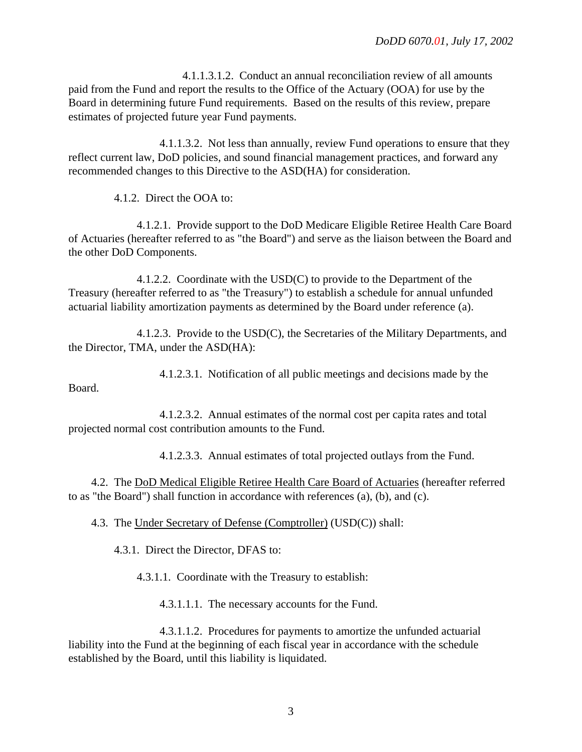4.1.1.3.1.2. Conduct an annual reconciliation review of all amounts paid from the Fund and report the results to the Office of the Actuary (OOA) for use by the Board in determining future Fund requirements. Based on the results of this review, prepare estimates of projected future year Fund payments.

4.1.1.3.2. Not less than annually, review Fund operations to ensure that they reflect current law, DoD policies, and sound financial management practices, and forward any recommended changes to this Directive to the ASD(HA) for consideration.

4.1.2. Direct the OOA to:

4.1.2.1. Provide support to the DoD Medicare Eligible Retiree Health Care Board of Actuaries (hereafter referred to as "the Board") and serve as the liaison between the Board and the other DoD Components.

4.1.2.2. Coordinate with the USD(C) to provide to the Department of the Treasury (hereafter referred to as "the Treasury") to establish a schedule for annual unfunded actuarial liability amortization payments as determined by the Board under reference (a).

4.1.2.3. Provide to the USD(C), the Secretaries of the Military Departments, and the Director, TMA, under the ASD(HA):

4.1.2.3.1. Notification of all public meetings and decisions made by the Board.

4.1.2.3.2. Annual estimates of the normal cost per capita rates and total projected normal cost contribution amounts to the Fund.

4.1.2.3.3. Annual estimates of total projected outlays from the Fund.

4.2. The DoD Medical Eligible Retiree Health Care Board of Actuaries (hereafter referred to as "the Board") shall function in accordance with references (a), (b), and (c).

4.3. The Under Secretary of Defense (Comptroller) (USD(C)) shall:

4.3.1. Direct the Director, DFAS to:

4.3.1.1. Coordinate with the Treasury to establish:

4.3.1.1.1. The necessary accounts for the Fund.

4.3.1.1.2. Procedures for payments to amortize the unfunded actuarial liability into the Fund at the beginning of each fiscal year in accordance with the schedule established by the Board, until this liability is liquidated.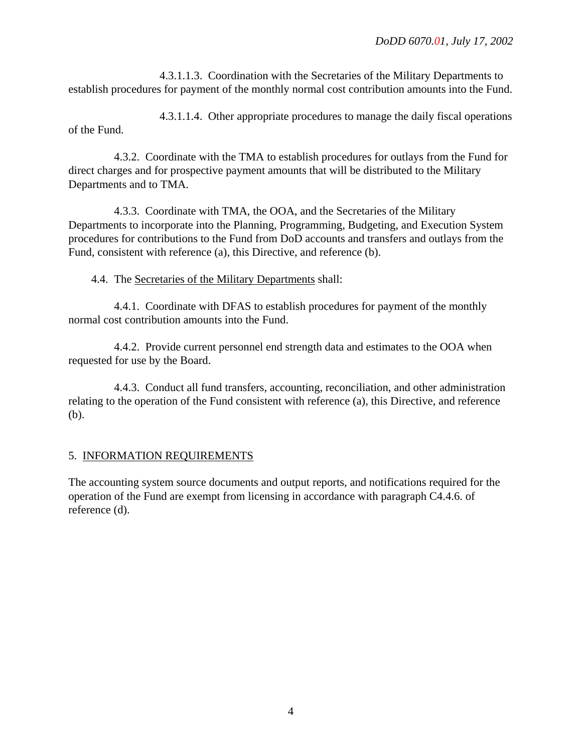4.3.1.1.3. Coordination with the Secretaries of the Military Departments to establish procedures for payment of the monthly normal cost contribution amounts into the Fund.

4.3.1.1.4. Other appropriate procedures to manage the daily fiscal operations of the Fund.

4.3.2. Coordinate with the TMA to establish procedures for outlays from the Fund for direct charges and for prospective payment amounts that will be distributed to the Military Departments and to TMA.

4.3.3. Coordinate with TMA, the OOA, and the Secretaries of the Military Departments to incorporate into the Planning, Programming, Budgeting, and Execution System procedures for contributions to the Fund from DoD accounts and transfers and outlays from the Fund, consistent with reference (a), this Directive, and reference (b).

4.4. The Secretaries of the Military Departments shall:

4.4.1. Coordinate with DFAS to establish procedures for payment of the monthly normal cost contribution amounts into the Fund.

4.4.2. Provide current personnel end strength data and estimates to the OOA when requested for use by the Board.

4.4.3. Conduct all fund transfers, accounting, reconciliation, and other administration relating to the operation of the Fund consistent with reference (a), this Directive, and reference (b).

## 5. INFORMATION REQUIREMENTS

The accounting system source documents and output reports, and notifications required for the operation of the Fund are exempt from licensing in accordance with paragraph C4.4.6. of reference (d).